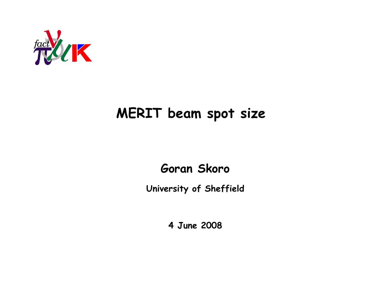

# MERIT beam spot size

## Goran Skoro

University of Sheffield

4 June 2008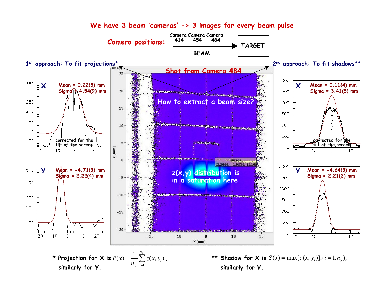

We have 3 beam 'cameras' -> 3 images for every beam pulse

similarly for Y.

*i*

similarly for Y.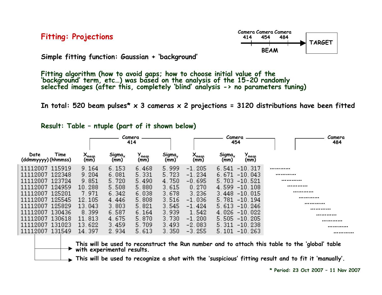Fitting: Projections



Simple fitting function: Gaussian + 'background'

Fitting algorithm (how to avoid gaps; how to choose initial value of the<br>'background' term, etc...) was based on the analysis of the 15-20 randomly<br>selected images (after this, completely 'blind' analysis -> no parameters

In total: 520 beam pulses\*  $\times$  3 cameras  $\times$  2 projections = 3120 distributions have been fitted

| Result: Table - ntuple (part of it shown below) |  |  |  |  |  |  |  |
|-------------------------------------------------|--|--|--|--|--|--|--|
|-------------------------------------------------|--|--|--|--|--|--|--|

|                                     |                      | Camera<br>414       |               |                          |                                 | Camera<br>454                       | Camera<br>484 |
|-------------------------------------|----------------------|---------------------|---------------|--------------------------|---------------------------------|-------------------------------------|---------------|
| Date<br>Time<br>(ddmmyyyy) (hhmmss) | <b>Amean</b><br>(mm) | $Sigma_{x}$<br>(mm) | mean)<br>(mm) | $S_{\text{igm}}$<br>(mm) | $\lambda_{\text{mean}}$<br>(mm) | $Sigma_{x}$<br>mean<br>(mm)<br>(mm) |               |
| 115919<br>11112007                  | 9.164                | 6.153               | 6.468         | 5.999                    | $-1.205$                        | $-10.317$<br>6.541                  |               |
| 122348<br>11112007                  | 9.204                | 6.081               | 5.331         | 5.723                    | $-1.234$                        | 6.671<br>$-10.043$                  |               |
| 123724<br>11112007                  | 9.851                | 5.720               | 5.490         | 4.750                    | $-0.695$                        | 5.703<br>$-10.521$                  |               |
| 124959<br>11112007                  | 10.288               | 5.508               | 5.880         | 3.615                    | 0.270                           | 4.599<br>$-10.108$                  |               |
| 125201<br>11112007                  | 7.971                | 6.342               | 6.038         | 3.678                    | 3.236                           | $-10.015$<br>3.448                  |               |
| 125545<br>11112007                  | 12.105               | 4.446               | 5.808         | 3.516                    | $-1.036$                        | 5.781<br>$-10.194$                  |               |
| 125829<br>11112007                  | 13.043               | 3.803               | 5.821         | 3.545                    | $-1.424$                        | $-10.246$<br>5.613                  |               |
| 130436<br>11112007                  | 8.399                | 6.587               | 6.164         | 3.939                    | 1.542                           | 4.026<br>$-10.022$                  | <br>          |
| 130618<br>11112007                  | 11.813               | 4.675               | 5.870         | 3.730                    | $-1.200$                        | 5.505<br>$-10.205$                  |               |
| 131023<br>11112007                  | 13.622               | 3.459               | 5.709         | 3.493                    | $-2.083$                        | 5.311<br>$-10.238$                  |               |
| 131549<br>11112007                  | 14.397               | 2.934               | 5.613         | 3.350                    | $-3.255$                        | $-10.263$<br>5.101                  |               |
|                                     |                      |                     |               |                          |                                 |                                     |               |

This will be used to reconstruct the Run number and to attach this table to the 'global' table  $\rightarrow$  with experimental results.

 $\blacktriangleright$  This will be used to recognize a shot with the 'suspicious' fitting result and to fit it 'manually'.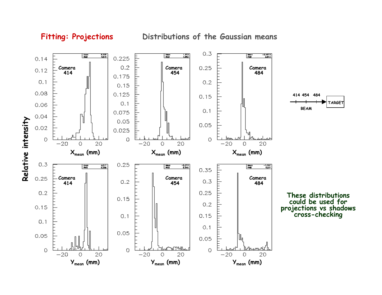

Distributions of the Gaussian means

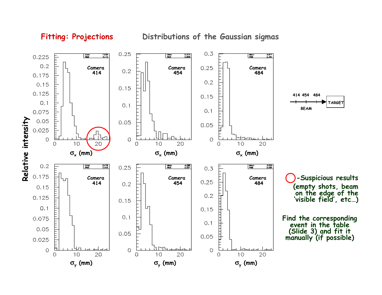

### Fitting: Projections

Distributions of the Gaussian sigmas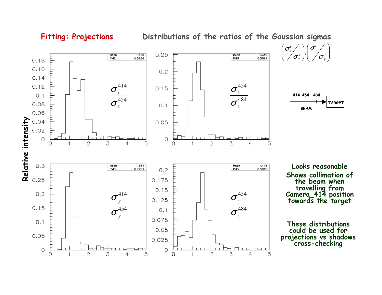